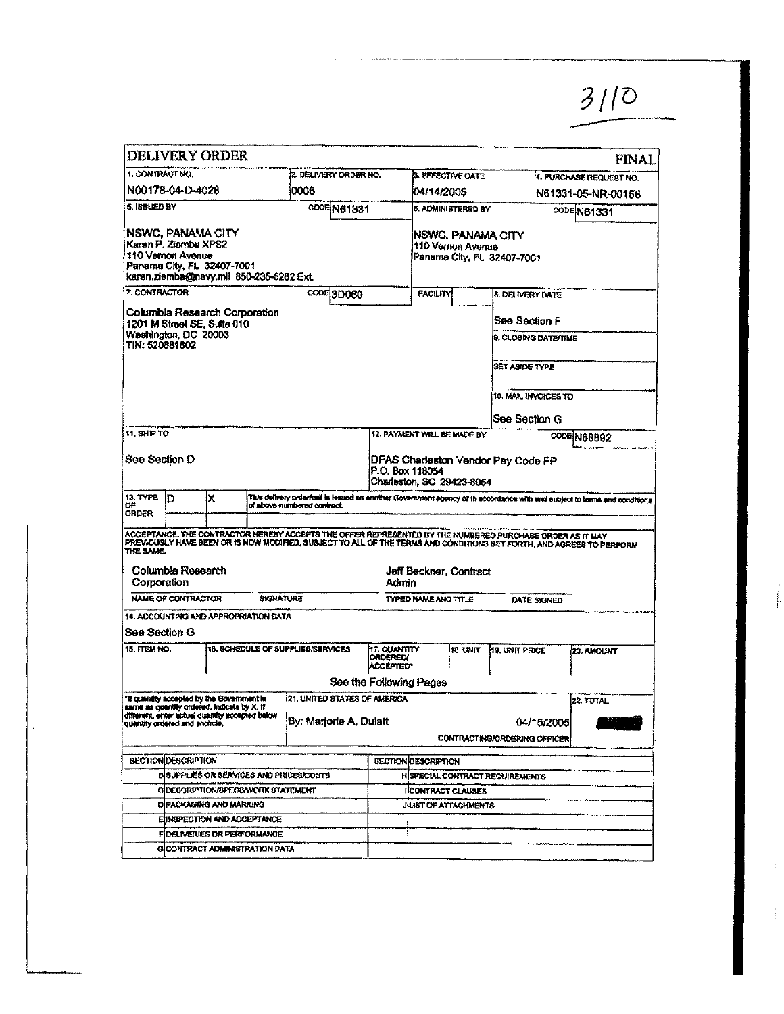|                               |                                                                      | <b>DELIVERY ORDER</b>                                                                                                                        |                  |                                                                                                                                                                                                                                  |                                                     |                                              |                                         |                                        |                   | <b>FINAL</b>            |
|-------------------------------|----------------------------------------------------------------------|----------------------------------------------------------------------------------------------------------------------------------------------|------------------|----------------------------------------------------------------------------------------------------------------------------------------------------------------------------------------------------------------------------------|-----------------------------------------------------|----------------------------------------------|-----------------------------------------|----------------------------------------|-------------------|-------------------------|
| 1. CONTRACT NO.               |                                                                      |                                                                                                                                              |                  | 12. DELIVERY ORDER NO.                                                                                                                                                                                                           |                                                     | 3. EFFECTIVE DATE                            |                                         |                                        |                   | 4. PURCHASE REQUEST NO. |
|                               | N00178-04-D-4028                                                     |                                                                                                                                              |                  | 0006                                                                                                                                                                                                                             |                                                     | 104/14/2005                                  |                                         |                                        |                   | N61331-05-NR-00156      |
| 5. ISBUED BY                  |                                                                      |                                                                                                                                              |                  | <b>CODE N61331</b>                                                                                                                                                                                                               |                                                     |                                              | <b>6. ADMINISTERED BY</b>               |                                        |                   | <b>CODE N81331</b>      |
|                               | <b>NSWC, PANAMA CITY</b><br>Karan P. Ziamba XPS2<br>110 Vemon Avenue | Panama City, FL 32407-7001<br>karen ziemba@navy.mll 850-235-5282 Ext.                                                                        |                  |                                                                                                                                                                                                                                  |                                                     |                                              | NSWC, PANAMA CITY<br>i110 Vernon Avenue | Paname City, FL 32407-7001             |                   |                         |
| 7. CONTRACTOR                 |                                                                      |                                                                                                                                              |                  | copE3D060                                                                                                                                                                                                                        |                                                     | FACILITY                                     |                                         | <b>8. DELIVERY DATE</b>                |                   |                         |
|                               | Washington, DC 20003                                                 | Columbia Research Corporation<br>1201 M Street SE, Suite 010                                                                                 |                  |                                                                                                                                                                                                                                  |                                                     |                                              |                                         | ISee Section F<br>9. CLOSING DATE/MME  |                   |                         |
| TIN: 520881802                |                                                                      |                                                                                                                                              |                  |                                                                                                                                                                                                                                  |                                                     |                                              |                                         |                                        |                   |                         |
|                               |                                                                      |                                                                                                                                              |                  |                                                                                                                                                                                                                                  |                                                     |                                              |                                         | SET ASIDE TYPE                         |                   |                         |
|                               |                                                                      |                                                                                                                                              |                  |                                                                                                                                                                                                                                  |                                                     |                                              |                                         | 10. MAIL INVOICES TO                   |                   |                         |
|                               |                                                                      |                                                                                                                                              |                  |                                                                                                                                                                                                                                  |                                                     |                                              |                                         | See Section G                          |                   |                         |
| <b>11. SHP TO</b>             |                                                                      |                                                                                                                                              |                  |                                                                                                                                                                                                                                  |                                                     | 12. PAYMENT WILL BE MADE BY                  |                                         |                                        |                   | CODE N68892             |
| See Section D                 |                                                                      |                                                                                                                                              |                  |                                                                                                                                                                                                                                  |                                                     | P.O. Box 118054<br>Charleston, SC 29423-8054 |                                         | DFAS Charleston Vendor Pay Code FP     |                   |                         |
| 13, TYPE<br>٥F<br>ORDER       | חו                                                                   | ×                                                                                                                                            |                  | This delivery orderical is issued on another Government agency or in accordance with and subject to terms and conditions<br>of above-numbered contract.                                                                          |                                                     |                                              |                                         |                                        |                   |                         |
| THE SAME.<br>Corporation      | Columbia Research                                                    |                                                                                                                                              |                  | ACCEPTANCE. THE CONTRACTOR HEREBY ACCEPTS THE OFFER REPRESENTED BY THE NUMBERED PURCHASE ORDER AS IT MAY<br>PREVIOUSLY HAVE BEEN OR IS NOW MODIFIED, SUBJECT TO ALL OF THE TERMS AND CONDITIONS BET FORTH, AND AGREES TO PERFORM | Admin                                               | Jeff Beckner, Contract                       |                                         |                                        |                   |                         |
|                               | <b>NAME OF CONTRACTOR</b>                                            |                                                                                                                                              | <b>SIGNATURE</b> |                                                                                                                                                                                                                                  |                                                     | TYPED NAME AND TITLE                         |                                         | DATE SIGNED                            |                   |                         |
| See Section G                 |                                                                      | 14. ACCOUNTING AND APPROPRIATION DATA                                                                                                        |                  |                                                                                                                                                                                                                                  |                                                     |                                              |                                         |                                        |                   |                         |
| 15. ITEM NO.                  |                                                                      |                                                                                                                                              |                  | 16. SCHEDULE OF SUPPLIES/SERVICES                                                                                                                                                                                                | <b>17. QUANTITY</b><br><b>ORDEREIX</b><br>ACCEPTED" |                                              | 10. UNIT                                | 19. UNIT PRICE                         |                   | 20. AMOUNT              |
|                               |                                                                      |                                                                                                                                              |                  |                                                                                                                                                                                                                                  | See the Following Pages                             |                                              |                                         |                                        |                   |                         |
| quantity ordered and endrole. |                                                                      | "If quantity accepted by the Government in<br>same as quantity ordered, indicate by X. If<br>different, enser schief quantity accepted below |                  | 21. UNITED STATES OF AMERICA<br>By: Marjorie A. Dulatt                                                                                                                                                                           |                                                     |                                              |                                         | CONTRACT ING/ORDERING OFFICER          | <b>U4/15/2005</b> | 22, TUTAL               |
|                               | <b>BECTION DESCRIPTION</b>                                           |                                                                                                                                              |                  |                                                                                                                                                                                                                                  |                                                     | <b>SECTION DESCRIPTION</b>                   |                                         |                                        |                   |                         |
|                               |                                                                      |                                                                                                                                              |                  | BISUPPLIES OR SERVICES AND PRICES/COSTS                                                                                                                                                                                          |                                                     |                                              |                                         | <b>HISPECIAL CONTRACT REQUIREMENTS</b> |                   |                         |
|                               |                                                                      | CIDESCRIPTION/SPECS/WORK STATEMENT                                                                                                           |                  |                                                                                                                                                                                                                                  |                                                     | <b>IFCONTFACT CLAUSES</b>                    |                                         |                                        |                   |                         |
|                               |                                                                      | DIPACKAGING AND MARKING                                                                                                                      |                  |                                                                                                                                                                                                                                  |                                                     | JILIST OF ATTACHMENTS                        |                                         |                                        |                   |                         |
|                               |                                                                      | E INSPECTION AND ACCEPTANCE                                                                                                                  |                  |                                                                                                                                                                                                                                  |                                                     |                                              |                                         |                                        |                   |                         |
|                               |                                                                      | FIDELIVERIES OR PERFORMANCE                                                                                                                  |                  |                                                                                                                                                                                                                                  |                                                     |                                              |                                         |                                        |                   |                         |
|                               |                                                                      | GICONTRACT ADMINISTRATION DATA                                                                                                               |                  |                                                                                                                                                                                                                                  |                                                     |                                              |                                         |                                        |                   |                         |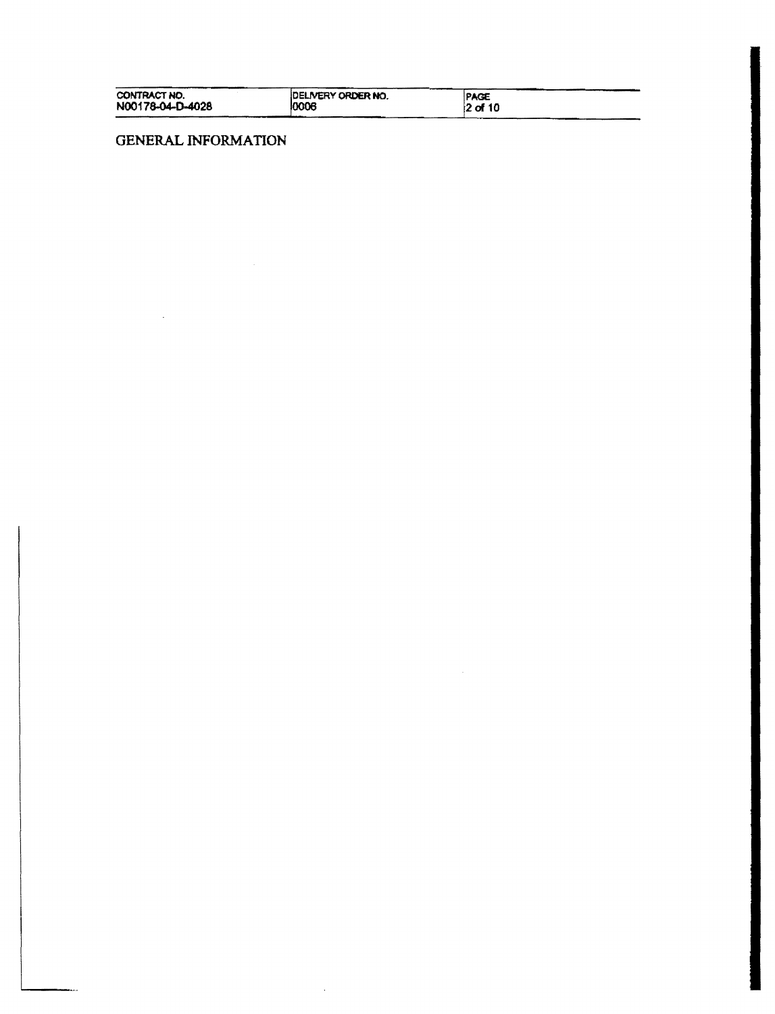| CONTRACT NO.     | <b>IDELIVERY ORDER NO.</b> | <b>IPAGE</b> |
|------------------|----------------------------|--------------|
| N00178-04-D-4028 | 10006                      | 12 of 10     |

 $\sim$   $\sim$ 

# **GENERAL INFORMATION**

 $\mathcal{L}(\mathcal{A})$  and  $\mathcal{L}(\mathcal{A})$  .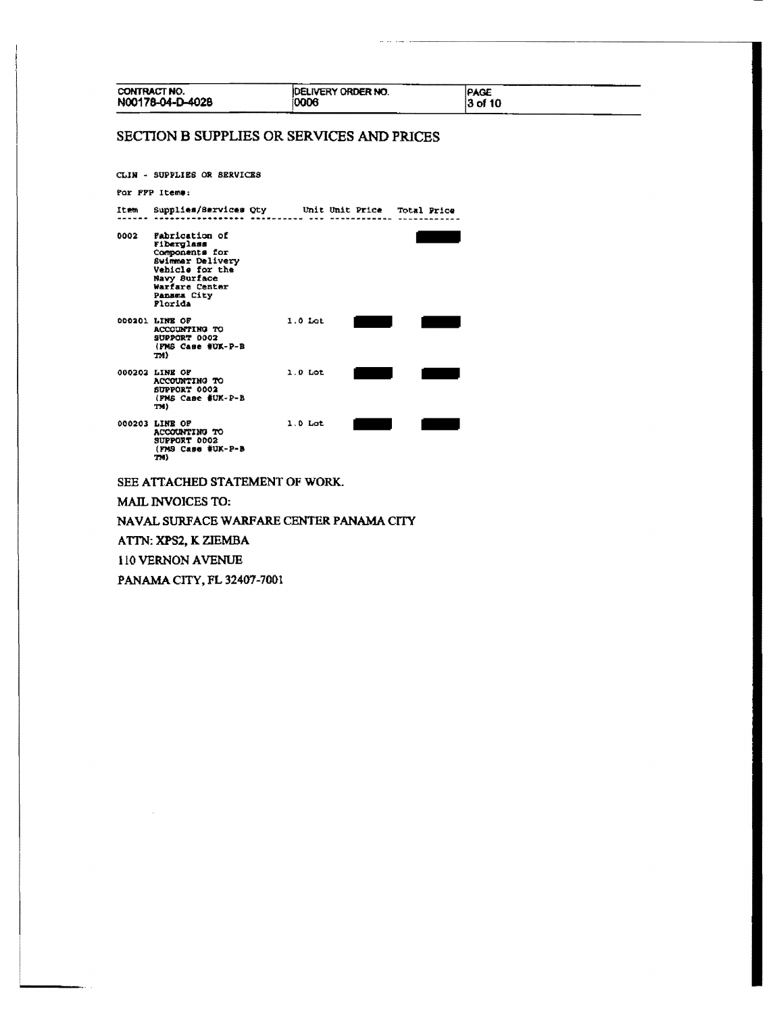| CONTRACT NO.          | N00178-04-D-4028                                                                                                                                  | <b>IDELIVERY ORDER NO.</b><br>0006                | PAGE<br>3 of 10 |  |
|-----------------------|---------------------------------------------------------------------------------------------------------------------------------------------------|---------------------------------------------------|-----------------|--|
|                       |                                                                                                                                                   | SECTION B SUPPLIES OR SERVICES AND PRICES         |                 |  |
|                       | CLIN - SUPPLIES OR SERVICES                                                                                                                       |                                                   |                 |  |
| For FFP Items:        |                                                                                                                                                   |                                                   |                 |  |
| Item                  |                                                                                                                                                   | Supplies/Services Qty Unit Unit Price Total Price |                 |  |
| 0002                  | Fabrication of<br>Fiberglass<br>Components for<br>Swimmer Delivery<br>Vehicle for the<br>Navy Burface<br>Warfare Center<br>Pansma City<br>Florida |                                                   |                 |  |
| 000201 LINE OF<br>TM) | ACCOUNTING TO<br>SUPPORT 0002<br>(FMS Case #UK-P-B                                                                                                | $1.0$ Lot                                         |                 |  |
| 000202 LINE OF<br>TM) | ACCOUNTING TO<br>SUPPORT 0002<br>(PMS Case #UK-P-B                                                                                                | $1.0$ Lot                                         |                 |  |
| 000203 LINE OF        | ACCOUNTING TO<br>SUPPORT 0002                                                                                                                     | $1.0$ Lot                                         |                 |  |

SUPPORT 0002<br>(FMS Case #UK-P-B<br>TM)

SEE ATTACHED STATEMENT OF WORK.

**MAIL INVOICES TO:** 

NAVAL SURFACE WARFARE CENTER PANAMA CITY

ATTN: XPS2, K ZIEMBA

110 VERNON AVENUE

PANAMA CITY, FL 32407-7001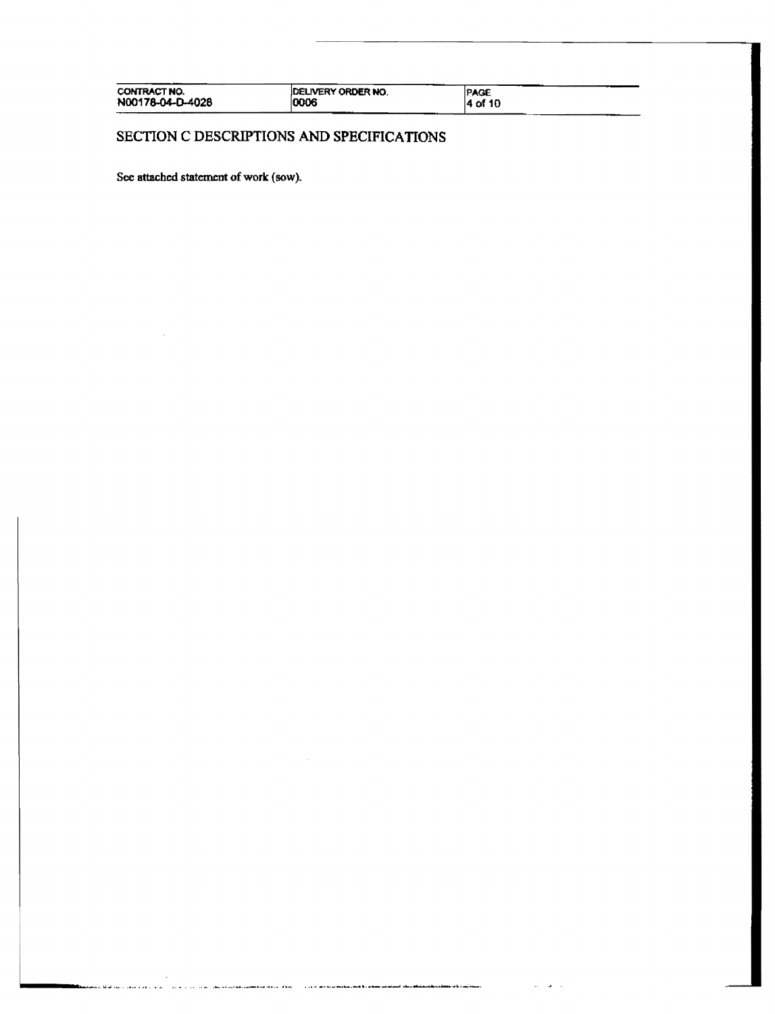| CONTRACT NO.<br>N00178-04-D-4028<br>--- | <b>IDELIVERY ORDER NO.</b><br>10006 | <b>PAGE</b><br>l4 of 10 |
|-----------------------------------------|-------------------------------------|-------------------------|
|-----------------------------------------|-------------------------------------|-------------------------|

SECTION C DESCRIPTIONS AND SPECIFICATIONS

a ay aana ahaan uu uu dhinnaa dhaa wadan aa aa markaa bahaa lee baalkiin in intii dhambaan kaalimaa ahaan ahaa

 $\Delta\omega = \Delta\omega = 1$ 

الداري الأكثر والمتعدد والمدافق في المدين

J.

See attached statement of work (sow).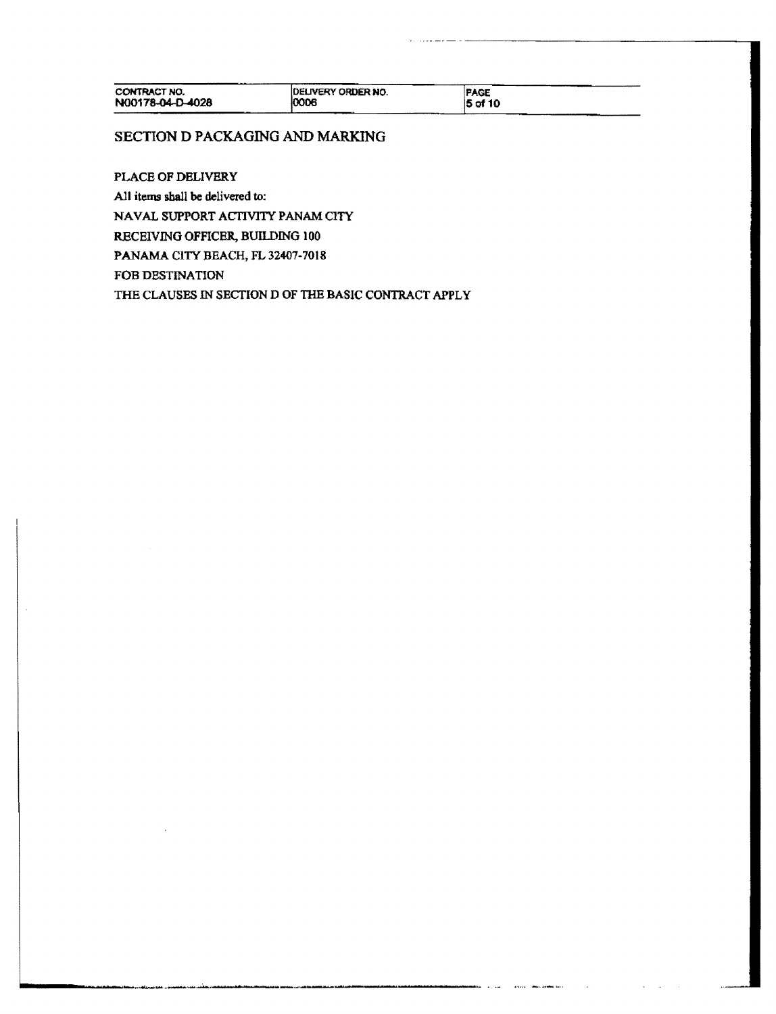# SECTION D PACKAGING AND MARKING

PLACE OF DELIVERY

All items shall be delivered to:

NAVAL SUPPORT ACTIVITY PANAM CITY

RECEIVING OFFICER, BUILDING 100

PANAMA CITY BEACH, FL 32407-7018

FOB DESTINATION

THE CLAUSES IN SECTION D OF THE BASIC CONTRACT APPLY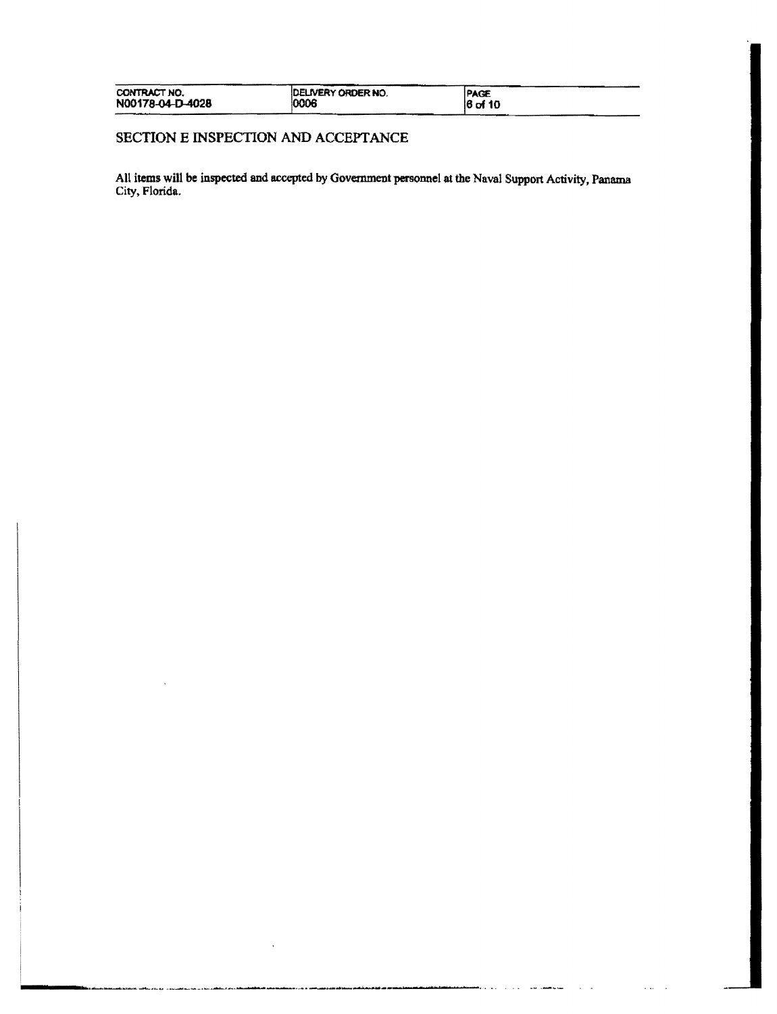| CONTRACT NO.     | <b>DELIVERY ORDER NO.</b> | <b>PAGE</b> |
|------------------|---------------------------|-------------|
| N00178-04-D-4028 | 0006                      | $16$ of 10  |

# SECTION E INSPECTION AND ACCEPTANCE

 $\cdots$ 

All items will be inspected and accepted by Government personnel at the Naval Support Activity, Panama City. Florida.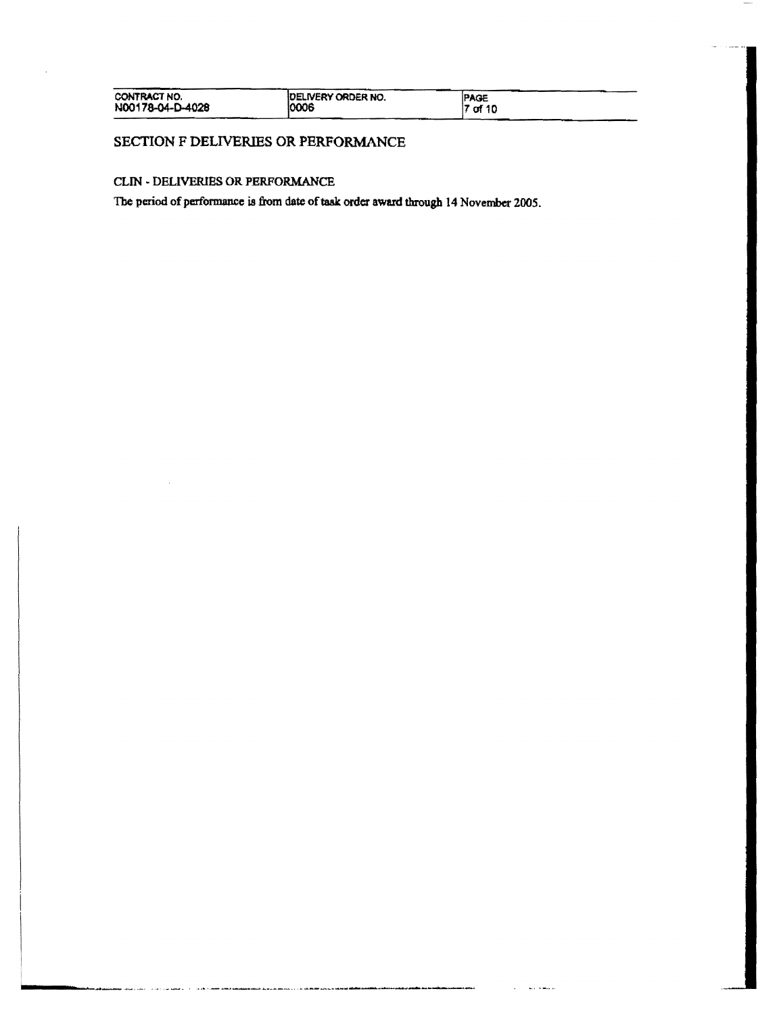| CONTRACT NO.     | <b>IDELIVERY ORDER NO.</b> | <b>PAGE</b> |
|------------------|----------------------------|-------------|
| N00178-04-D-4028 | 0006                       | $ 7$ of 10  |

## SECTION F DELIVERIES OR PERFORMANCE

## CLIN - DELIVERIES OR PERFORMANCE

The period of performance is from date of task order award through 14 November 2005.

فتتوجه وبالمستعدد والمتعا

ana a

متعاديها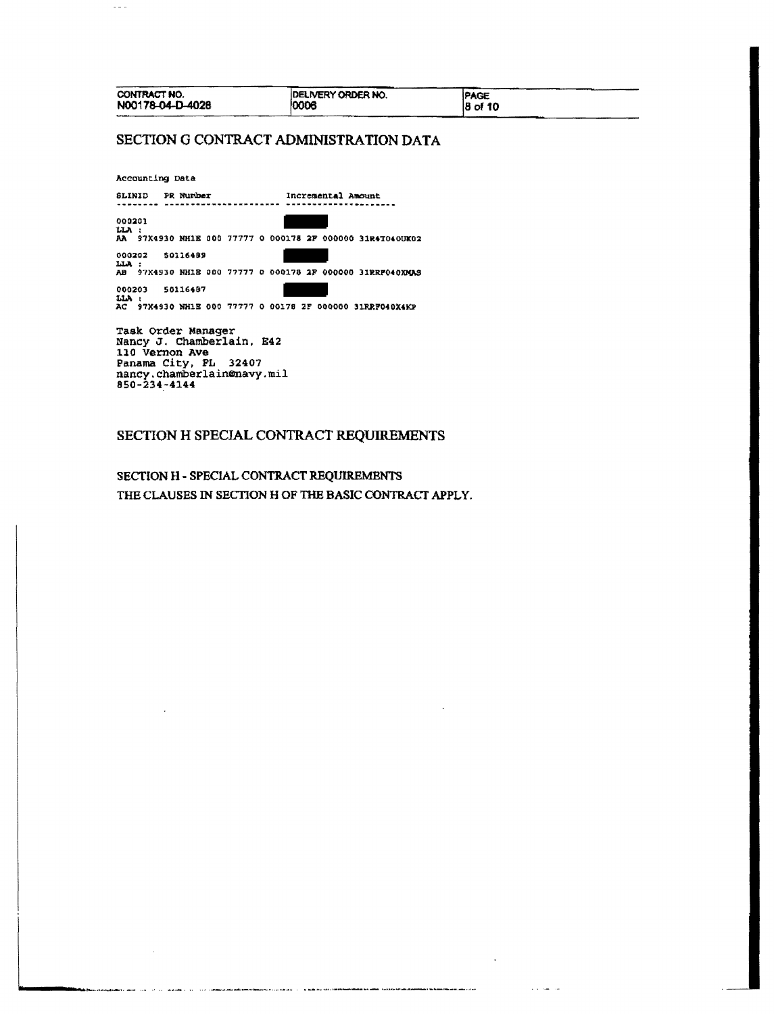| CONTRACT NO.                | <b>IDELIVERY ORDER NO.</b> | <b>PAGE</b> |
|-----------------------------|----------------------------|-------------|
| N00178-04-D-4028<br>------- | '0006                      | $ 8$ of 10  |

# SECTION G CONTRACT ADMINISTRATION DATA

Accounting Data

 $\sim$   $\sim$  .

SLINID PR Number Number 1ncremental Amount 000201 LLA :<br>AA 97X4930 NH1E 000 77777 0 000178 2F 000000 31R4T040UK02 000202 50116489 LLA :<br>AB 97X4930 NH1E 000 77777 0 000178 2F 000000 31RRF040XMAS  $\blacksquare$ 000203 50116487 LIA :<br>AC 97X4930 NH1E 000 77777 0 00178 2F 000000 31RRF040X4KP

Task Order Manager Nancy J. Chamberlain, E42 110 Vernon Ave Panama City, PL 32407<br>nancy.chamberlain@navy.mil<br>850-234-4144

.<br>Senderty and the contract of the sender of the contract of the information of the contract of the first official or operation

فأستعف فالمحافيات المنافس بالوالين فلأنفذ

.......

أحماده فتفعل والمتوافا

 $\sim 10^{11}$  km  $^{-1}$  km

# SECTION H SPECIAL CONTRACT REQUIREMENTS

SECTION H - SPECIAL CONTRACT REQUIREMENTS THE CLAUSES IN SECTION H OF THE BASIC CONTRACT APPLY.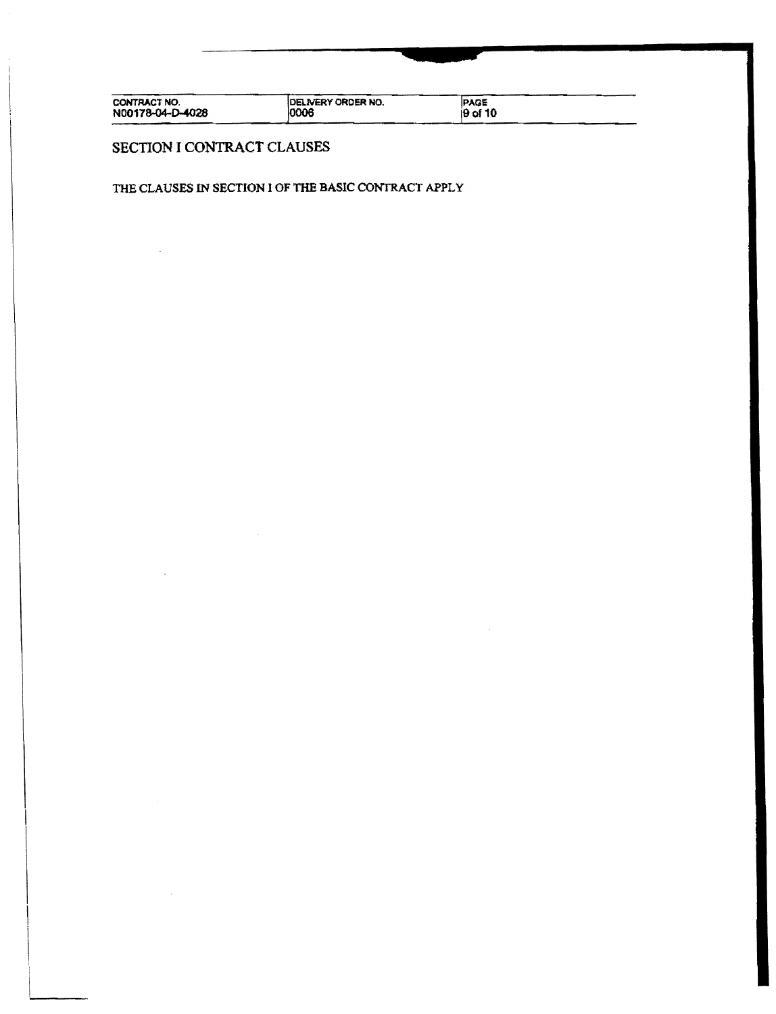DELIVERY ORDER NO. PAGE<br>9 of 10 CONTRACT NO.<br>N00178-04-D-40<mark>28</mark>

# SECTION I CONTRACT CLAUSES

## THE CLAUSES IN SECTION I OF THE BASIC CONTRACT APPLY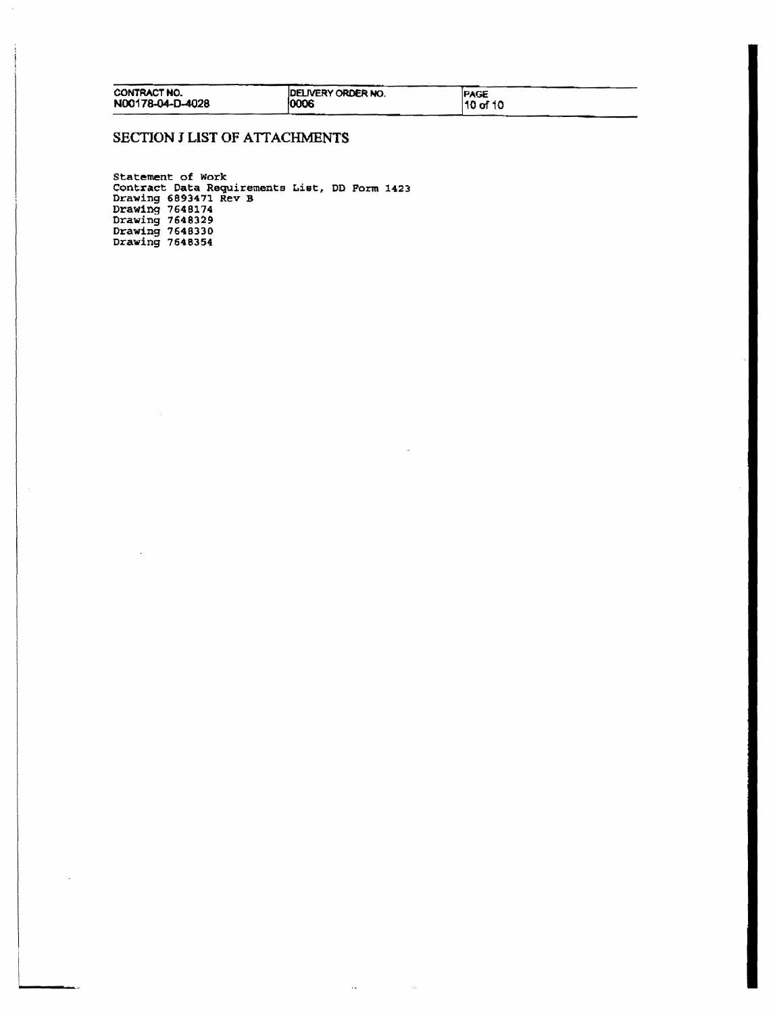| CONTRACT NO.     | <b>IDELIVERY ORDER NO.</b> | <b>PAGE</b> |
|------------------|----------------------------|-------------|
| N00178-04-D-4028 | 10006                      | 10 of 10    |

 $\sim 10^{-10}$ 

 $\sim$ 

# SECTION J LIST OF ATTACHMENTS

 $\overline{\phantom{a}}$ 

Statement of work Contract Data Requirements List, DO Form 1423 Drawing 6893471 Rev B Drawing 7648174 Drawing 1648329 Drawing 7648330 Drawing 7648354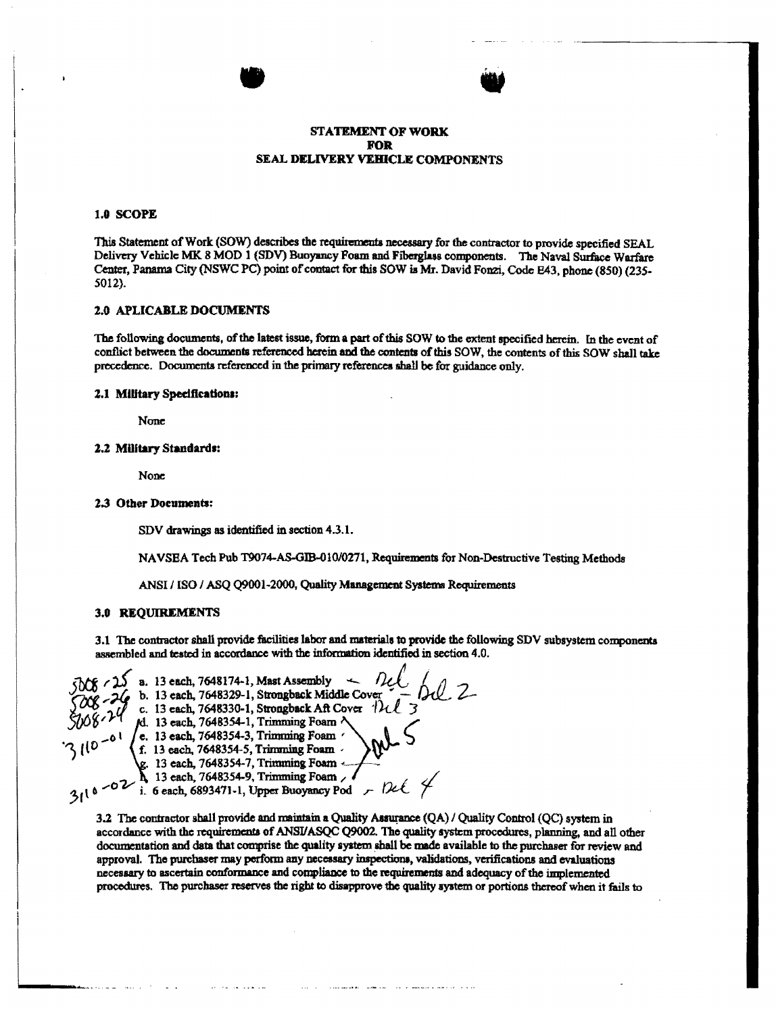## **STATEMENT OF WORK FOR SEAL DELIVERY VEHICLE COMPONENTS**

#### 1.0 SCOPE

This Statement of Work (SOW) describes the requirements necessary for the contractor to provide specified SEAL Delivery Vehicle MK 8 MOD 1 (SDV) Buoyancy Foam and Fibergiass components. The Naval Surface Warfare Center, Panama City (NSWC PC) point of contact for this SOW is Mr. David Fonzi, Code E43, phone (850) (235-5012).

#### **2.0 APLICABLE DOCUMENTS**

The following documents, of the latest issue, form a part of this SOW to the extent specified herein. In the event of conflict between the documents referenced herein and the contents of this SOW, the contents of this SOW shall take precedence. Documents referenced in the primary references shall be for guidance only.

### 2.1 Military Specifications:

None

#### 2.2 Military Standards:

None

#### 2.3 Other Documents:

SDV drawings as identified in section 4.3.1.

NAVSEA Tech Pub T9074-AS-GIB-010/0271, Requirements for Non-Destructive Testing Methods

ANSI / ISO / ASO 09001-2000, Quality Management Systems Requirements

#### **3.0 REQUIREMENTS**

3.1 The contractor shall provide facilities labor and materials to provide the following SDV subsystem components assembled and tested in accordance with the information identified in section 4.0.

a. 13 each, 7648174-1, Mast Assembly b. 13 each. 7648329-1, Strongback Middle Cover c. 13 each, 7648330-1, Strongback Aft Cover  $\eta$ M. 13 each, 7648354-1, Trimming Foam ^  $\lceil 0 \rceil$  / e. 13 each, 7648354-3, Trimming Foam / f. 13 each, 7648354-5, Trimming Foam  $\lambda$ . 13 each, 7648354-7, Trimming Foam<br>  $\lambda$  13 each, 7648354-9, Trimming Foam<br>
i. 6 each, 6893471-1, Upper Buoyancy Pod

3.2 The contractor shall provide and maintain a Quality Assurance (QA) / Quality Control (QC) system in accordance with the requirements of ANSI/ASQC Q9002. The quality system procedures, planning, and all other documentation and data that comprise the quality system shall be made available to the purchaser for review and approval. The purchaser may perform any necessary inspections, validations, verifications and evaluations necessary to ascertain conformance and compliance to the requirements and adequacy of the implemented procedures. The purchaser reserves the right to disapprove the quality system or portions thereof when it fails to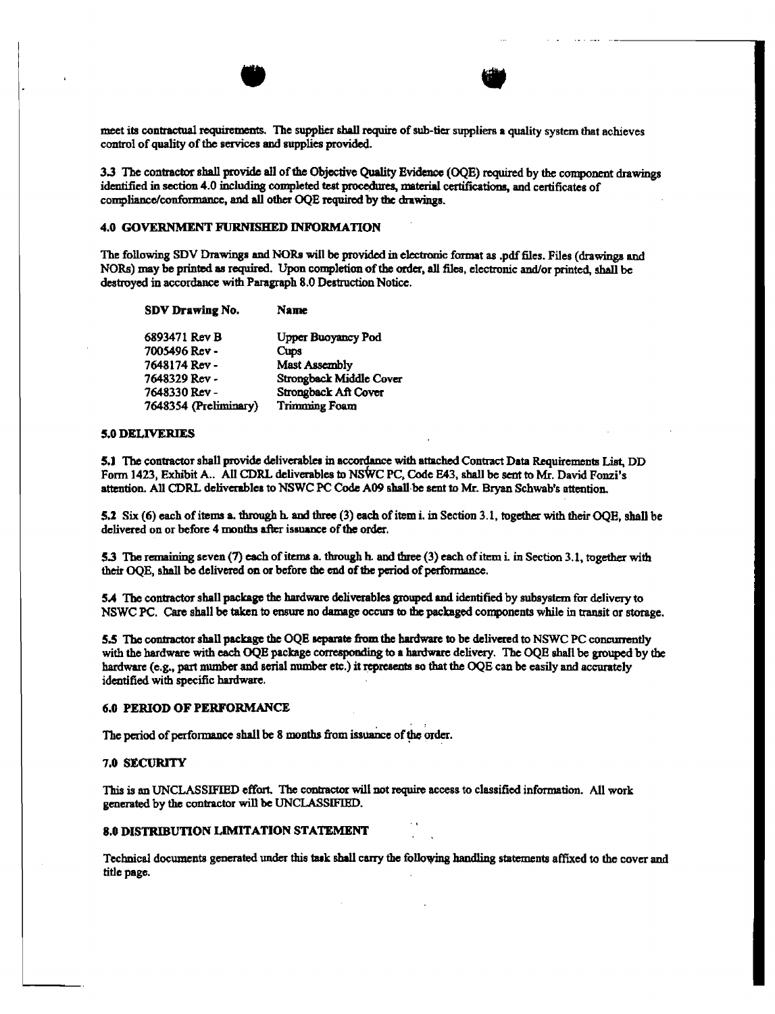meet its contractual requirements. The supplier shall require ofsub-tier suppliers a quality system that achieves control of quality of the services and supplies provided.

........\_.\_--------

3.3 The contractor shall provide all of the Objective Quality Evidence (OQE) required by the component drawings identified in section 4.0 including completed teat procedures. material certifications, and certificates of compliance/conformance, and all other OQE required by the drawings.

### 4.0 GOVERNMENT FURNISHED INFORMATION

The following SDV Drawings and NORs will be provided in electronic format as .pdf files. Files (drawings and NORs) may be printed as required. Upon completion of the order, all files, electronic and/or printed, shall be destroyed in accordance with Paragraph 8.0 Destruction Notice.

| Upper Buoyancy Pod      |
|-------------------------|
|                         |
|                         |
| Strongback Middle Cover |
| Strongback Aft Cover    |
|                         |
|                         |

### 5.0 DELIVERIES

5.1 The contractor shall provide deliverables in accordance with attached Contract Data Requirements List, DD Form 1423, Exhibit A.. All CDRL deliverables to NSWC PC, Code E43, shall be sent to Mr. David Fonzi's attention. All CDRL deliverablca to NSWC PC Code A09 shall·be sent to Mr. Bryan Schwab's attention.

5.2 Six (6) each of items a. through h. and three (3) each of item i. in Section 3.1, together with their OOE, shall be delivered on or before 4 months after issuance of the order.

5.3 The remaining seven (7) each of items a. through h. and three (3) each of item i. in Section 3.1, together with their OQE, shall be delivered on or before the end of the period of performance.

5.4 The contractor shall package the hardware deliverables grouped and identified by subsystem for delivery to NSWC PC. Care shall be taken to ensure no damage occurs to the packaged components while in transit or storage.

5.5 The contractor shall package the DQE separate from the hardware to be delivered to NSWC PC concurrently with the hardware with each OQE package corresponding to a hardware delivery. The OQE shall be grouped by the hardware (e.g., part number and serial number etc.) it represents so that the OQE can be easily and accurately identified with specific hardware.

#### 6.0 PERIOD OF PERFORMANCE

The period of performance shall be 8 months from issuance of the order.

### 7.0 SECURITY

This is an UNCLASSIFIED effort. The contractor will not require access to classified information. All work generated by the contractor will be UNCLASSIFIED.

#### 8.0 DISTRIBUTION LIMITATION STATEMENT

Technical documents generated under this task shall carry the following handling statements affixed to the cover and title page.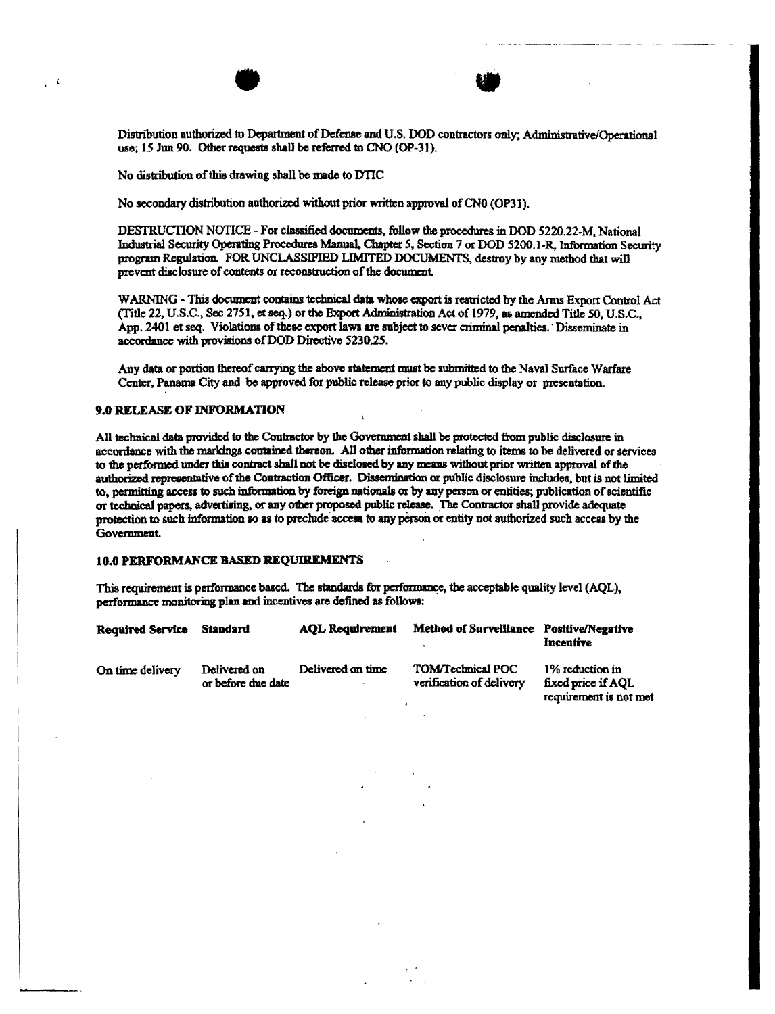Distribution authorized to Department of Defense and U.S. DOD contractors only; Administrative/Operational use; 15 Jun 90. Other requests shall be referred to CNO (OP-31).

No distribution of this drawing shall be made to DTIC

No secondary distribution authorized without prior written approval of CN0 (OP31).

DESTRUCTION NOTICE - For classified documents, follow the procedures in DOD 5220.22-M. National Industrial Security Operating Procedures Manual, Chapter 5, Section 7 or DOD 5200.1-R, Information Security program Regulation. FOR UNCLASSIFIED LIMITED DOCUMENTS, destroy by any method that will prevent disclosure of contents or reconstruction of the document.

WARNING - This document contains technical data whose export is restricted by the Arms Export Control Act (Title 22, U.S.C., Sec 2751, et seq.) or the Export Administration Act of 1979, as amended Title 50, U.S.C., App. 2401 et seq. Violations of these export laws are subject to sever criminal penalties. Disseminate in accordance with provisions of DOD Directive 5230.25.

Any data or portion thereof carrying the above statement must be submitted to the Naval Surface Warfare Center, Panama City and be approved for public release prior to any public display or presentation.

## **9.0 RELEASE OF INFORMATION**

All technical data provided to the Contractor by the Government shall be protected from public disclosure in accordance with the markings contained thereon. All other information relating to items to be delivered or services to the performed under this contract shall not be disclosed by any means without prior written approval of the authorized representative of the Contraction Officer. Dissemination or public disclosure includes, but is not limited to, permitting access to such information by foreign nationals or by any person or entities; publication of scientific or technical papers, advertising, or any other proposed public release. The Contractor shall provide adequate protection to such information so as to preclude access to any person or entity not authorized such access by the Government.

## **10.0 PERFORMANCE BASED REQUIREMENTS**

This requirement is performance based. The standards for performance, the acceptable quality level (AQL), performance monitoring plan and incentives are defined as follows:

| Required Service | Standard                           | <b>AOL Requirement</b> | <b>Method of Surveillance</b>                        | Positive/Negative<br>Incentive                                 |
|------------------|------------------------------------|------------------------|------------------------------------------------------|----------------------------------------------------------------|
| On time delivery | Delivered on<br>or before due date | Delivered on time      | <b>TOM/Technical POC</b><br>verification of delivery | 1% reduction in<br>fixed price if AOL<br>remivement is not met |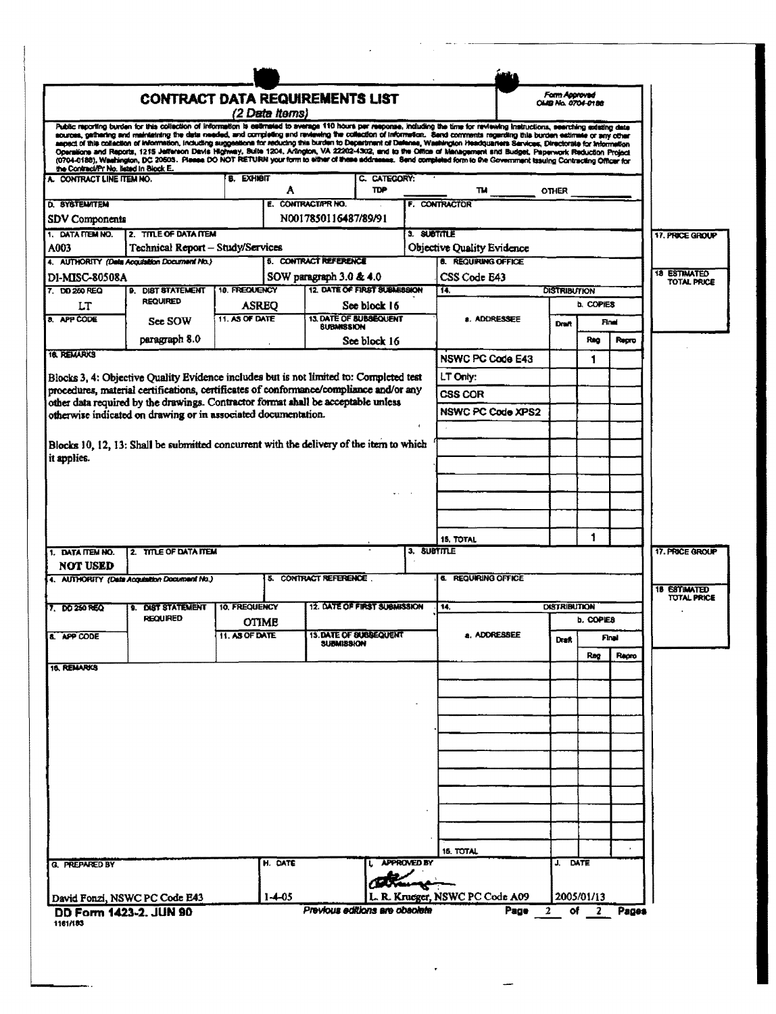|                                                     | <b>CONTRACT DATA REQUIREMENTS LIST</b>                                                                                                              |                   |                |                                                   |                            |                    |                                                                                                                                                                                                                                                                                                                                                                | Form Approved       |            |              |                                           |
|-----------------------------------------------------|-----------------------------------------------------------------------------------------------------------------------------------------------------|-------------------|----------------|---------------------------------------------------|----------------------------|--------------------|----------------------------------------------------------------------------------------------------------------------------------------------------------------------------------------------------------------------------------------------------------------------------------------------------------------------------------------------------------------|---------------------|------------|--------------|-------------------------------------------|
|                                                     |                                                                                                                                                     |                   | (2 Data Items) |                                                   |                            |                    |                                                                                                                                                                                                                                                                                                                                                                | OMB No. 0704-0188   |            |              |                                           |
|                                                     |                                                                                                                                                     |                   |                |                                                   |                            |                    | Public reporting burden for this collection of information is eathnated to average 110 hours per response, including the time for reviewing instructions, seerching existing data<br>acurces, gathering and maintaining the date needed, and completing end reviewing the collection of information. Send comments regarding this burden eatlmate or any other |                     |            |              |                                           |
|                                                     |                                                                                                                                                     |                   |                |                                                   |                            |                    | aspect of this collection of information, including suggestions for reducing this burden to Department of Defense, Washington Headquarters Services, Directorate for Information<br>Operations and Reports, 1215 Jefferson Davis Highway, Suite 1204, Arlington, VA 22202-4302, and to the Office of Management and Budget, Paperwork Reduction Project        |                     |            |              |                                           |
| the Contract/Pr No. listed in Block E.              |                                                                                                                                                     |                   |                |                                                   |                            |                    | (0704-0188), Washington, DC 20603. Please DO NOT RETURN your form to either of these addresses. Send completed form to the Government trauing Contracting Officer for                                                                                                                                                                                          |                     |            |              |                                           |
| A. CONTRACT LINE ITEM NO.                           |                                                                                                                                                     | <b>B. EXHIBIT</b> | A              |                                                   | C. CATEGORY:<br><b>TDP</b> |                    |                                                                                                                                                                                                                                                                                                                                                                | <b>OTHER</b>        |            |              |                                           |
| D. SYSTEMITEM                                       |                                                                                                                                                     |                   |                | E. CONTRACTAPR NO.                                |                            |                    | F. CONTRACTOR                                                                                                                                                                                                                                                                                                                                                  |                     |            |              |                                           |
| SDV Components                                      |                                                                                                                                                     |                   |                | N0017850116487/89/91                              |                            |                    |                                                                                                                                                                                                                                                                                                                                                                |                     |            |              |                                           |
| 1. DATA ITEM NO.                                    | 2. TITLE OF DATA ITEM                                                                                                                               |                   |                |                                                   |                            | 3. SUBTITLE        |                                                                                                                                                                                                                                                                                                                                                                |                     |            |              | 17. PRICE GROUP                           |
| A003                                                | Technical Report - Study/Services<br>4. AUTHORITY (Dela Acquisition Document No.)                                                                   |                   |                | <b>5. CONTRACT REFERENCE</b>                      |                            |                    | <b>Objective Quality Evidence</b><br><b>8. REQUIRING OFFICE</b>                                                                                                                                                                                                                                                                                                |                     |            |              |                                           |
| DI-MISC-80508A                                      |                                                                                                                                                     |                   |                | SOW paragraph 3.0 & 4.0                           |                            |                    | CSS Code E43                                                                                                                                                                                                                                                                                                                                                   |                     |            |              | <b>18 ESTIMATED</b>                       |
| 7. DO 250 REQ                                       | <b>9. DIST STATEMENT</b>                                                                                                                            | 10. FREQUENCY     |                | 12. DATE OF FIRST SUBMISSION                      |                            |                    | 14.                                                                                                                                                                                                                                                                                                                                                            | <b>DISTRIBUTION</b> |            |              | TOTAL PRICE                               |
| LT                                                  | <b>REQUIRED</b>                                                                                                                                     | <b>ASREO</b>      |                |                                                   | See block 16               |                    |                                                                                                                                                                                                                                                                                                                                                                |                     | b. COPIES  |              |                                           |
| 8. APP CODE                                         | See SOW                                                                                                                                             | 11. AS OF DATE    |                | <b>13 DATE OF BUBBEOUFNT</b><br><b>SUBMISSION</b> |                            |                    | a. ADDRESSEE                                                                                                                                                                                                                                                                                                                                                   | Draft               |            | Final        |                                           |
|                                                     | paragraph 8.0                                                                                                                                       |                   |                |                                                   | See block 16               |                    |                                                                                                                                                                                                                                                                                                                                                                |                     | Rag        | Repro        |                                           |
| <b>16. REMARKS</b>                                  |                                                                                                                                                     |                   |                |                                                   |                            |                    | <b>NSWC PC Code E43</b>                                                                                                                                                                                                                                                                                                                                        |                     | 1          |              |                                           |
|                                                     | Blocks 3, 4: Objective Quality Evidence includes but is not limited to: Completed test                                                              |                   |                |                                                   |                            |                    | LT Only:                                                                                                                                                                                                                                                                                                                                                       |                     |            |              |                                           |
|                                                     | procedures, material certifications, certificates of conformance/compliance and/or any                                                              |                   |                |                                                   |                            |                    | CSS COR                                                                                                                                                                                                                                                                                                                                                        |                     |            |              |                                           |
|                                                     | other data required by the drawings. Contractor format shall be acceptable unless<br>otherwise indicated on drawing or in associated documentation. |                   |                |                                                   |                            |                    | <b>NSWC PC Code XPS2</b>                                                                                                                                                                                                                                                                                                                                       |                     |            |              |                                           |
|                                                     |                                                                                                                                                     |                   |                |                                                   |                            |                    |                                                                                                                                                                                                                                                                                                                                                                |                     |            |              |                                           |
|                                                     | Blocks 10, 12, 13: Shall be submitted concurrent with the delivery of the item to which                                                             |                   |                |                                                   |                            |                    |                                                                                                                                                                                                                                                                                                                                                                |                     |            |              |                                           |
| it applies.                                         |                                                                                                                                                     |                   |                |                                                   |                            |                    |                                                                                                                                                                                                                                                                                                                                                                |                     |            |              |                                           |
|                                                     |                                                                                                                                                     |                   |                |                                                   |                            |                    |                                                                                                                                                                                                                                                                                                                                                                |                     |            |              |                                           |
|                                                     |                                                                                                                                                     |                   |                |                                                   |                            |                    |                                                                                                                                                                                                                                                                                                                                                                |                     |            |              |                                           |
|                                                     |                                                                                                                                                     |                   |                |                                                   |                            |                    |                                                                                                                                                                                                                                                                                                                                                                |                     |            |              |                                           |
|                                                     |                                                                                                                                                     |                   |                |                                                   |                            |                    |                                                                                                                                                                                                                                                                                                                                                                |                     |            |              |                                           |
|                                                     |                                                                                                                                                     |                   |                |                                                   |                            |                    |                                                                                                                                                                                                                                                                                                                                                                |                     |            |              |                                           |
|                                                     |                                                                                                                                                     |                   |                |                                                   |                            |                    | <b>15. TOTAL</b>                                                                                                                                                                                                                                                                                                                                               |                     | 1          |              |                                           |
|                                                     | 2. TITLE OF DATA ITEM                                                                                                                               |                   |                |                                                   |                            | 3. SUBTITLE        |                                                                                                                                                                                                                                                                                                                                                                |                     |            |              | 17. PRICE GROUP                           |
| <b>NOT USED</b>                                     | 4. AUTHORITY (Date Acquisition Document No.)                                                                                                        |                   |                | 5. CONTRACT REFERENCE.                            |                            |                    | <b>6. REQUIRING OFFICE</b>                                                                                                                                                                                                                                                                                                                                     |                     |            |              |                                           |
|                                                     |                                                                                                                                                     |                   |                |                                                   |                            |                    |                                                                                                                                                                                                                                                                                                                                                                |                     |            |              | <b>18 ESTIMATED</b><br><b>TOTAL PRICE</b> |
|                                                     | 9. DIST STATEMENT                                                                                                                                   | 10. FREQUENCY     |                | 12. DATE OF FIRST SUBMISSION                      |                            |                    | 14.                                                                                                                                                                                                                                                                                                                                                            | <b>DISTRIBUTION</b> |            |              |                                           |
|                                                     | <b>REQUIRED</b>                                                                                                                                     | <b>OTIME</b>      |                |                                                   |                            |                    |                                                                                                                                                                                                                                                                                                                                                                |                     | b. COPIES  |              |                                           |
| 1. DATA ITEM NO.<br>7 DO 250 REO<br><b>APP CODE</b> |                                                                                                                                                     | 11. AS OF DATE    |                | 13. DATE OF SUBSEQUENT<br>SUBMISSION              |                            |                    | a, ADDRESSEE                                                                                                                                                                                                                                                                                                                                                   | Drak                |            |              |                                           |
|                                                     |                                                                                                                                                     |                   |                |                                                   |                            |                    |                                                                                                                                                                                                                                                                                                                                                                |                     | Rag        | <b>Repro</b> |                                           |
|                                                     |                                                                                                                                                     |                   |                |                                                   |                            |                    |                                                                                                                                                                                                                                                                                                                                                                |                     |            |              |                                           |
| 15. REMARKS                                         |                                                                                                                                                     |                   |                |                                                   |                            |                    |                                                                                                                                                                                                                                                                                                                                                                |                     |            |              |                                           |
|                                                     |                                                                                                                                                     |                   |                |                                                   |                            |                    |                                                                                                                                                                                                                                                                                                                                                                |                     |            |              |                                           |
|                                                     |                                                                                                                                                     |                   |                |                                                   |                            |                    |                                                                                                                                                                                                                                                                                                                                                                |                     |            |              |                                           |
|                                                     |                                                                                                                                                     |                   |                |                                                   |                            |                    |                                                                                                                                                                                                                                                                                                                                                                |                     |            |              |                                           |
|                                                     |                                                                                                                                                     |                   |                |                                                   |                            |                    |                                                                                                                                                                                                                                                                                                                                                                |                     |            |              |                                           |
|                                                     |                                                                                                                                                     |                   |                |                                                   |                            |                    |                                                                                                                                                                                                                                                                                                                                                                |                     |            |              |                                           |
|                                                     |                                                                                                                                                     |                   |                |                                                   |                            |                    |                                                                                                                                                                                                                                                                                                                                                                |                     |            |              |                                           |
|                                                     |                                                                                                                                                     |                   |                |                                                   |                            |                    |                                                                                                                                                                                                                                                                                                                                                                |                     |            |              |                                           |
|                                                     |                                                                                                                                                     |                   |                |                                                   |                            |                    |                                                                                                                                                                                                                                                                                                                                                                |                     |            |              |                                           |
|                                                     |                                                                                                                                                     |                   |                |                                                   |                            |                    |                                                                                                                                                                                                                                                                                                                                                                |                     |            |              |                                           |
|                                                     |                                                                                                                                                     |                   |                |                                                   |                            |                    | 15. TOTAL                                                                                                                                                                                                                                                                                                                                                      |                     |            |              |                                           |
| <b>G. PREPARED BY</b>                               |                                                                                                                                                     |                   | H. DATE        |                                                   |                            | <b>APPROVED BY</b> |                                                                                                                                                                                                                                                                                                                                                                | J. DATE             |            |              |                                           |
|                                                     | David Fonzi, NSWC PC Code E43                                                                                                                       |                   | $1-4-05$       |                                                   |                            |                    | L. R. Krueger, NSWC PC Code A09                                                                                                                                                                                                                                                                                                                                |                     | 2005/01/13 |              |                                           |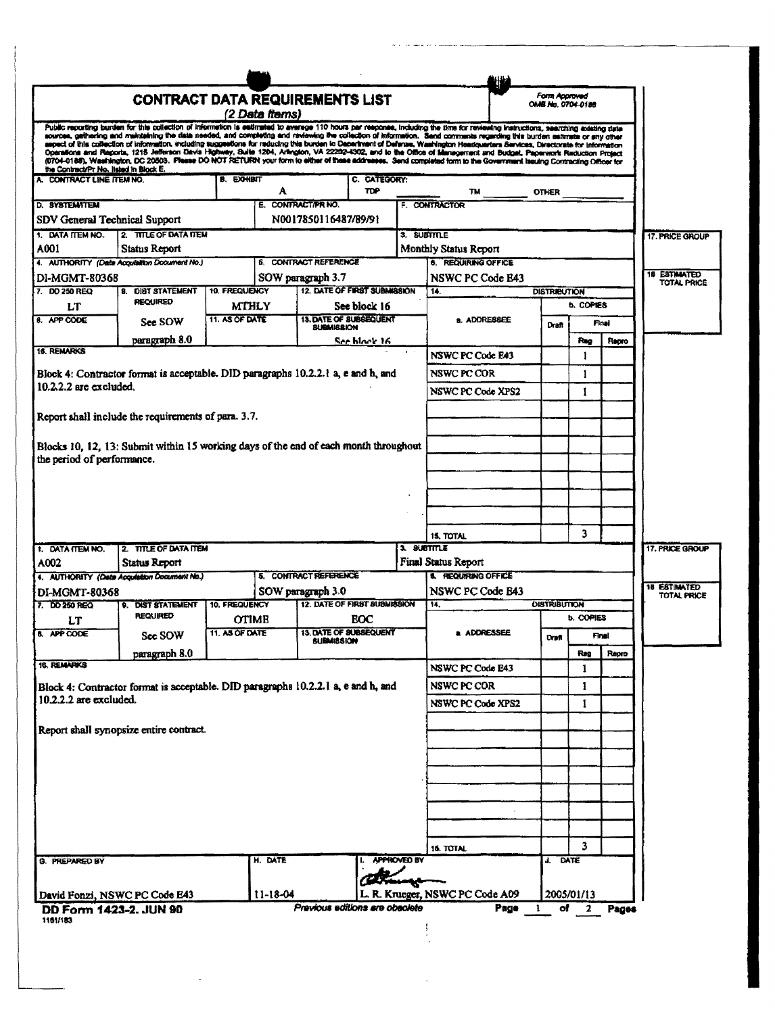|                                                                                                                                                      | <b>CONTRACT DATA REQUIREMENTS LIST</b>                                               |                                |                |                                     |                                        |                    |                                                                                                                                                                                                                                                                                                                                                                                                                                                                                                                                                    | Form Approved<br>OMB No. 0704-0188 |                  |       |                                           |
|------------------------------------------------------------------------------------------------------------------------------------------------------|--------------------------------------------------------------------------------------|--------------------------------|----------------|-------------------------------------|----------------------------------------|--------------------|----------------------------------------------------------------------------------------------------------------------------------------------------------------------------------------------------------------------------------------------------------------------------------------------------------------------------------------------------------------------------------------------------------------------------------------------------------------------------------------------------------------------------------------------------|------------------------------------|------------------|-------|-------------------------------------------|
|                                                                                                                                                      |                                                                                      |                                | (2 Data items) |                                     |                                        |                    |                                                                                                                                                                                                                                                                                                                                                                                                                                                                                                                                                    |                                    |                  |       |                                           |
|                                                                                                                                                      |                                                                                      |                                |                |                                     |                                        |                    | Public reporting burden for this collection of information is astimated to average 110 hours per response, including the time for reviewing instructions, searching existing data<br>sources, gathering and maintaining the data needed, and completing and reviewing the collection of information. Send comments regarding this burden estimate or any other<br>aspect of this collection of information, including suggestions for raducing this burden to Department of Defense, Washington Headquarters Services, Directorate for Information |                                    |                  |       |                                           |
| the Contract/Pr No. IIslad in Block E.                                                                                                               |                                                                                      |                                |                |                                     |                                        |                    | Operations and Reports, 1215 Jefferson Davis Highway, Buite 1204, Arangton, VA 22202-4302, and to the Office of Management and Budget, Paperwork Raduction Protect<br>(0704-0188), Washington, DC 20503. Please DO NOT RETURN your form to either of these addresses. Send completed form to the Government Issuing Contracting Officer for                                                                                                                                                                                                        |                                    |                  |       |                                           |
| A. CONTRACT LINE ITEM NO.                                                                                                                            |                                                                                      | <b>B. EXHIBIT</b>              | А              |                                     | C. CATEGORY:<br>TDP                    |                    | TM                                                                                                                                                                                                                                                                                                                                                                                                                                                                                                                                                 | <b>OTHER</b>                       |                  |       |                                           |
| <b>D. SYSTEMATEM</b>                                                                                                                                 |                                                                                      |                                |                | E. CONTRACT/PR NO.                  |                                        |                    | F. CONTRACTOR                                                                                                                                                                                                                                                                                                                                                                                                                                                                                                                                      |                                    |                  |       |                                           |
| SDV General Technical Support                                                                                                                        |                                                                                      |                                |                | N0017850116487/89/91                |                                        |                    |                                                                                                                                                                                                                                                                                                                                                                                                                                                                                                                                                    |                                    |                  |       |                                           |
| 1. DATA ITEM NO.                                                                                                                                     | 2. TITLE OF DATA TIEM                                                                |                                |                |                                     |                                        | 3. SUBTTTLE        |                                                                                                                                                                                                                                                                                                                                                                                                                                                                                                                                                    |                                    |                  |       | 17. PRICE GROUP                           |
| A001                                                                                                                                                 | <b>Status Report</b><br>4. AUTHORITY (Date Acquisition Document No.)                 |                                |                | <b>6. CONTRACT REFERENCE</b>        |                                        |                    | Monthly Status Report<br>6. REQUIRING OFFICE                                                                                                                                                                                                                                                                                                                                                                                                                                                                                                       |                                    |                  |       |                                           |
| <b>DI-MGMT-80368</b>                                                                                                                                 |                                                                                      |                                |                | SOW paragraph 3.7                   |                                        |                    | NSWC PC Code B43                                                                                                                                                                                                                                                                                                                                                                                                                                                                                                                                   |                                    |                  |       | <b>18 ESTIMATED</b><br><b>TOTAL PRICE</b> |
| 7. DO 250 REQ                                                                                                                                        | <b>DIST STATEMENT</b><br>Я.<br><b>REQUIRED</b>                                       | <b>10. FREQUENCY</b>           |                | <b>12. DATE OF FIRST SUBMISSION</b> |                                        |                    | 14.                                                                                                                                                                                                                                                                                                                                                                                                                                                                                                                                                | <b>DISTRIBUTION</b>                |                  |       |                                           |
| LT<br>8. APP CODE                                                                                                                                    |                                                                                      | <b>MTHLY</b><br>11. AS OF DATE |                |                                     | See block 16<br>13. DATE OF SUBSEQUENT |                    | a. ADDRESSEE                                                                                                                                                                                                                                                                                                                                                                                                                                                                                                                                       |                                    | <b>b. COPIES</b> |       |                                           |
|                                                                                                                                                      | See SOW                                                                              |                                |                | <b><i>BUBMISSION</i></b>            |                                        |                    |                                                                                                                                                                                                                                                                                                                                                                                                                                                                                                                                                    | Draft                              |                  | Final |                                           |
| 16. REMARKS                                                                                                                                          | paragraph 8.0                                                                        |                                |                |                                     | See black 16                           |                    |                                                                                                                                                                                                                                                                                                                                                                                                                                                                                                                                                    |                                    | Rag              | Repro |                                           |
|                                                                                                                                                      |                                                                                      |                                |                |                                     |                                        |                    | <b>NSWC PC Code E43</b>                                                                                                                                                                                                                                                                                                                                                                                                                                                                                                                            |                                    | 1                |       |                                           |
| $10.2.2.2$ are excluded.                                                                                                                             | Block 4: Contractor format is acceptable. DID paragraphs 10.2.2.1 a, e and h, and    |                                |                |                                     |                                        |                    | NSWC PC COR                                                                                                                                                                                                                                                                                                                                                                                                                                                                                                                                        |                                    | 1                |       |                                           |
|                                                                                                                                                      |                                                                                      |                                |                |                                     |                                        |                    | NSWC PC Code XPS2                                                                                                                                                                                                                                                                                                                                                                                                                                                                                                                                  |                                    | 1                |       |                                           |
|                                                                                                                                                      | Report shall include the requirements of para. 3.7.                                  |                                |                |                                     |                                        |                    |                                                                                                                                                                                                                                                                                                                                                                                                                                                                                                                                                    |                                    |                  |       |                                           |
|                                                                                                                                                      |                                                                                      |                                |                |                                     |                                        |                    |                                                                                                                                                                                                                                                                                                                                                                                                                                                                                                                                                    |                                    |                  |       |                                           |
|                                                                                                                                                      | Blocks 10, 12, 13: Submit within 15 working days of the end of each month throughout |                                |                |                                     |                                        |                    |                                                                                                                                                                                                                                                                                                                                                                                                                                                                                                                                                    |                                    |                  |       |                                           |
| the period of performance.                                                                                                                           |                                                                                      |                                |                |                                     |                                        |                    |                                                                                                                                                                                                                                                                                                                                                                                                                                                                                                                                                    |                                    |                  |       |                                           |
|                                                                                                                                                      |                                                                                      |                                |                |                                     |                                        |                    |                                                                                                                                                                                                                                                                                                                                                                                                                                                                                                                                                    |                                    |                  |       |                                           |
|                                                                                                                                                      |                                                                                      |                                |                |                                     |                                        |                    |                                                                                                                                                                                                                                                                                                                                                                                                                                                                                                                                                    |                                    |                  |       |                                           |
|                                                                                                                                                      |                                                                                      |                                |                |                                     |                                        |                    |                                                                                                                                                                                                                                                                                                                                                                                                                                                                                                                                                    |                                    |                  |       |                                           |
|                                                                                                                                                      |                                                                                      |                                |                |                                     |                                        |                    |                                                                                                                                                                                                                                                                                                                                                                                                                                                                                                                                                    |                                    |                  |       |                                           |
|                                                                                                                                                      |                                                                                      |                                |                |                                     |                                        |                    | <b>15. TOTAL</b>                                                                                                                                                                                                                                                                                                                                                                                                                                                                                                                                   |                                    | 3                |       |                                           |
|                                                                                                                                                      | 2. TITLE OF DATA ITEM                                                                |                                |                |                                     |                                        | 3. SUBTITLE        |                                                                                                                                                                                                                                                                                                                                                                                                                                                                                                                                                    |                                    |                  |       | 17. PRICE GROUP                           |
|                                                                                                                                                      | <b>Status Report</b>                                                                 |                                |                |                                     |                                        |                    | <b>Final Status Report</b><br><b>8. REQUIRING OFFICE</b>                                                                                                                                                                                                                                                                                                                                                                                                                                                                                           |                                    |                  |       |                                           |
|                                                                                                                                                      | 4. AUTHORITY (Data Acquisition Document No.)                                         |                                |                | <b>5. CONTRACT REFERENCE</b>        |                                        |                    | NSWC PC Code B43                                                                                                                                                                                                                                                                                                                                                                                                                                                                                                                                   |                                    |                  |       |                                           |
|                                                                                                                                                      | 9. DIST STATEMENT                                                                    | <b>10. FREQUENCY</b>           |                | SOW paragraph 3.0                   | 12. DATE OF FIRST SUBMISSION           |                    | 14.                                                                                                                                                                                                                                                                                                                                                                                                                                                                                                                                                | <b>DISTRIBUTION</b>                |                  |       | <b>18 ESTIMATED</b><br>TOTAL PRICE        |
| LT                                                                                                                                                   | <b>REQUIRED</b>                                                                      | OTIME                          |                |                                     | EOC                                    |                    |                                                                                                                                                                                                                                                                                                                                                                                                                                                                                                                                                    |                                    | <b>b. COPIES</b> |       |                                           |
|                                                                                                                                                      | See SOW                                                                              | 11. AS OF DATE                 |                | BULOWISSIO                          | 13. DATE OF SUBSEQUENT                 |                    | a. ADDRESSEE                                                                                                                                                                                                                                                                                                                                                                                                                                                                                                                                       | <b>Draft</b>                       |                  | Final |                                           |
|                                                                                                                                                      | paragraph 8.0                                                                        |                                |                |                                     |                                        |                    |                                                                                                                                                                                                                                                                                                                                                                                                                                                                                                                                                    |                                    | Reg              | Rapro |                                           |
|                                                                                                                                                      |                                                                                      |                                |                |                                     |                                        |                    | NSWC PC Code E43                                                                                                                                                                                                                                                                                                                                                                                                                                                                                                                                   |                                    | 1                |       |                                           |
|                                                                                                                                                      | Block 4: Contractor format is acceptable. DID paragraphs 10.2.2.1 a, e and h, and    |                                |                |                                     |                                        |                    | NSWC PC COR                                                                                                                                                                                                                                                                                                                                                                                                                                                                                                                                        |                                    | 1                |       |                                           |
|                                                                                                                                                      |                                                                                      |                                |                |                                     |                                        |                    | NSWC PC Code XPS2                                                                                                                                                                                                                                                                                                                                                                                                                                                                                                                                  |                                    | 1                |       |                                           |
|                                                                                                                                                      |                                                                                      |                                |                |                                     |                                        |                    |                                                                                                                                                                                                                                                                                                                                                                                                                                                                                                                                                    |                                    |                  |       |                                           |
|                                                                                                                                                      | Report shall synopsize entire contract.                                              |                                |                |                                     |                                        |                    |                                                                                                                                                                                                                                                                                                                                                                                                                                                                                                                                                    |                                    |                  |       |                                           |
|                                                                                                                                                      |                                                                                      |                                |                |                                     |                                        |                    |                                                                                                                                                                                                                                                                                                                                                                                                                                                                                                                                                    |                                    |                  |       |                                           |
|                                                                                                                                                      |                                                                                      |                                |                |                                     |                                        |                    |                                                                                                                                                                                                                                                                                                                                                                                                                                                                                                                                                    |                                    |                  |       |                                           |
|                                                                                                                                                      |                                                                                      |                                |                |                                     |                                        |                    |                                                                                                                                                                                                                                                                                                                                                                                                                                                                                                                                                    |                                    |                  |       |                                           |
|                                                                                                                                                      |                                                                                      |                                |                |                                     |                                        |                    |                                                                                                                                                                                                                                                                                                                                                                                                                                                                                                                                                    |                                    |                  |       |                                           |
|                                                                                                                                                      |                                                                                      |                                |                |                                     |                                        |                    |                                                                                                                                                                                                                                                                                                                                                                                                                                                                                                                                                    |                                    |                  |       |                                           |
|                                                                                                                                                      |                                                                                      |                                |                |                                     |                                        |                    |                                                                                                                                                                                                                                                                                                                                                                                                                                                                                                                                                    |                                    | 3                |       |                                           |
| 1. DATA ITEM NO.<br>A002<br>DI-MGMT-80368<br>7. DD 250 REQ<br><b>B.</b> APP CODE<br><b>18. REMARKS</b><br>$10.2.2.2$ are excluded.<br>G. PREPARED BY |                                                                                      |                                | H. DATE        |                                     |                                        | <b>APPROVED BY</b> | 16. TOTAL                                                                                                                                                                                                                                                                                                                                                                                                                                                                                                                                          | J. DATE                            |                  |       |                                           |
|                                                                                                                                                      |                                                                                      |                                |                |                                     |                                        |                    |                                                                                                                                                                                                                                                                                                                                                                                                                                                                                                                                                    |                                    |                  |       |                                           |
|                                                                                                                                                      | David Fonzi, NSWC PC Code E43                                                        |                                | $11 - 18 - 04$ |                                     |                                        |                    | L. R. Krueger, NSWC PC Code A09                                                                                                                                                                                                                                                                                                                                                                                                                                                                                                                    |                                    | 2005/01/13       |       |                                           |

 $\sim$